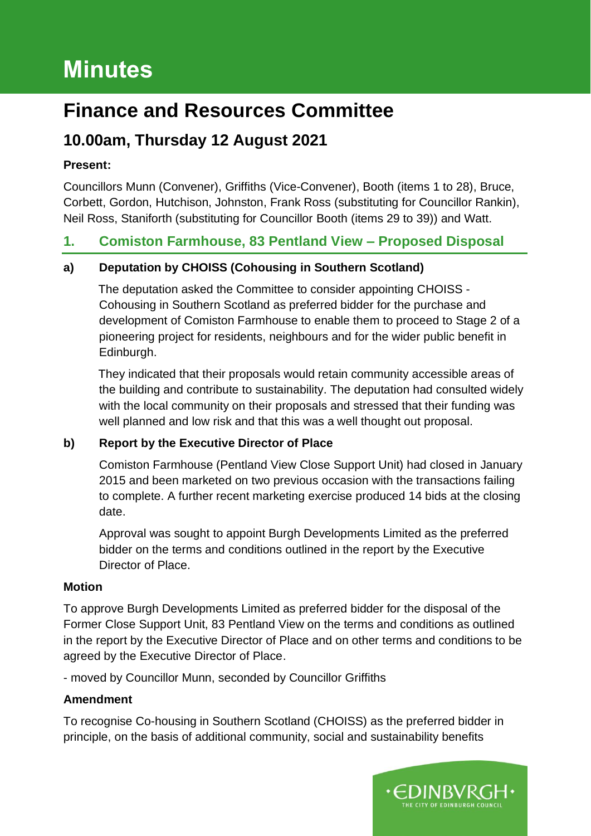# **Minutes**

## **Finance and Resources Committee**

## **10.00am, Thursday 12 August 2021**

### **Present:**

Councillors Munn (Convener), Griffiths (Vice-Convener), Booth (items 1 to 28), Bruce, Corbett, Gordon, Hutchison, Johnston, Frank Ross (substituting for Councillor Rankin), Neil Ross, Staniforth (substituting for Councillor Booth (items 29 to 39)) and Watt.

### **1. Comiston Farmhouse, 83 Pentland View – Proposed Disposal**

### **a) Deputation by CHOISS (Cohousing in Southern Scotland)**

The deputation asked the Committee to consider appointing CHOISS - Cohousing in Southern Scotland as preferred bidder for the purchase and development of Comiston Farmhouse to enable them to proceed to Stage 2 of a pioneering project for residents, neighbours and for the wider public benefit in Edinburgh.

They indicated that their proposals would retain community accessible areas of the building and contribute to sustainability. The deputation had consulted widely with the local community on their proposals and stressed that their funding was well planned and low risk and that this was a well thought out proposal.

### **b) Report by the Executive Director of Place**

Comiston Farmhouse (Pentland View Close Support Unit) had closed in January 2015 and been marketed on two previous occasion with the transactions failing to complete. A further recent marketing exercise produced 14 bids at the closing date.

Approval was sought to appoint Burgh Developments Limited as the preferred bidder on the terms and conditions outlined in the report by the Executive Director of Place.

### **Motion**

To approve Burgh Developments Limited as preferred bidder for the disposal of the Former Close Support Unit, 83 Pentland View on the terms and conditions as outlined in the report by the Executive Director of Place and on other terms and conditions to be agreed by the Executive Director of Place.

- moved by Councillor Munn, seconded by Councillor Griffiths

### **Amendment**

To recognise Co-housing in Southern Scotland (CHOISS) as the preferred bidder in principle, on the basis of additional community, social and sustainability benefits

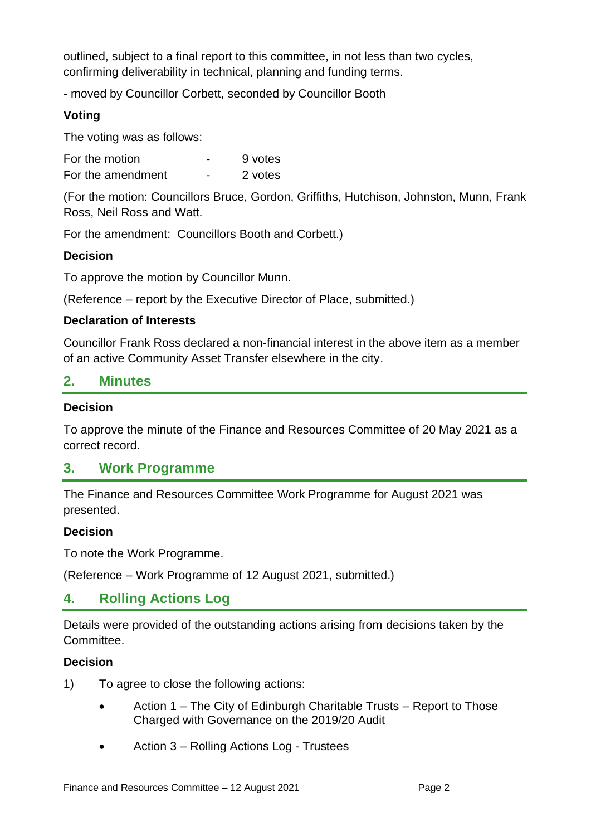outlined, subject to a final report to this committee, in not less than two cycles, confirming deliverability in technical, planning and funding terms.

- moved by Councillor Corbett, seconded by Councillor Booth

### **Voting**

The voting was as follows:

| For the motion    | - | 9 votes |
|-------------------|---|---------|
| For the amendment | - | 2 votes |

(For the motion: Councillors Bruce, Gordon, Griffiths, Hutchison, Johnston, Munn, Frank Ross, Neil Ross and Watt.

For the amendment: Councillors Booth and Corbett.)

### **Decision**

To approve the motion by Councillor Munn.

(Reference – report by the Executive Director of Place, submitted.)

#### **Declaration of Interests**

Councillor Frank Ross declared a non-financial interest in the above item as a member of an active Community Asset Transfer elsewhere in the city.

### **2. Minutes**

#### **Decision**

To approve the minute of the Finance and Resources Committee of 20 May 2021 as a correct record.

### **3. Work Programme**

The Finance and Resources Committee Work Programme for August 2021 was presented.

#### **Decision**

To note the Work Programme.

(Reference – Work Programme of 12 August 2021, submitted.)

### **4. Rolling Actions Log**

Details were provided of the outstanding actions arising from decisions taken by the Committee.

#### **Decision**

- 1) To agree to close the following actions:
	- Action 1 The City of Edinburgh Charitable Trusts Report to Those Charged with Governance on the 2019/20 Audit
	- Action 3 Rolling Actions Log Trustees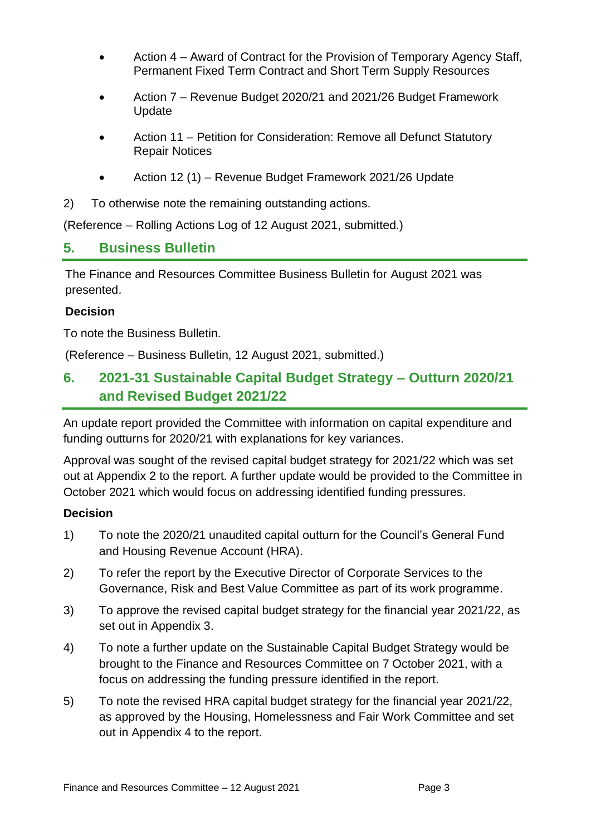- Action 4 Award of Contract for the Provision of Temporary Agency Staff, Permanent Fixed Term Contract and Short Term Supply Resources
- Action 7 Revenue Budget 2020/21 and 2021/26 Budget Framework Update
- Action 11 Petition for Consideration: Remove all Defunct Statutory Repair Notices
- Action 12 (1) Revenue Budget Framework 2021/26 Update
- 2) To otherwise note the remaining outstanding actions.

(Reference – Rolling Actions Log of 12 August 2021, submitted.)

### **5. Business Bulletin**

The Finance and Resources Committee Business Bulletin for August 2021 was presented.

#### **Decision**

To note the Business Bulletin.

(Reference – Business Bulletin, 12 August 2021, submitted.)

### **6. 2021-31 Sustainable Capital Budget Strategy – Outturn 2020/21 and Revised Budget 2021/22**

An update report provided the Committee with information on capital expenditure and funding outturns for 2020/21 with explanations for key variances.

Approval was sought of the revised capital budget strategy for 2021/22 which was set out at Appendix 2 to the report. A further update would be provided to the Committee in October 2021 which would focus on addressing identified funding pressures.

#### **Decision**

- 1) To note the 2020/21 unaudited capital outturn for the Council's General Fund and Housing Revenue Account (HRA).
- 2) To refer the report by the Executive Director of Corporate Services to the Governance, Risk and Best Value Committee as part of its work programme.
- 3) To approve the revised capital budget strategy for the financial year 2021/22, as set out in Appendix 3.
- 4) To note a further update on the Sustainable Capital Budget Strategy would be brought to the Finance and Resources Committee on 7 October 2021, with a focus on addressing the funding pressure identified in the report.
- 5) To note the revised HRA capital budget strategy for the financial year 2021/22, as approved by the Housing, Homelessness and Fair Work Committee and set out in Appendix 4 to the report.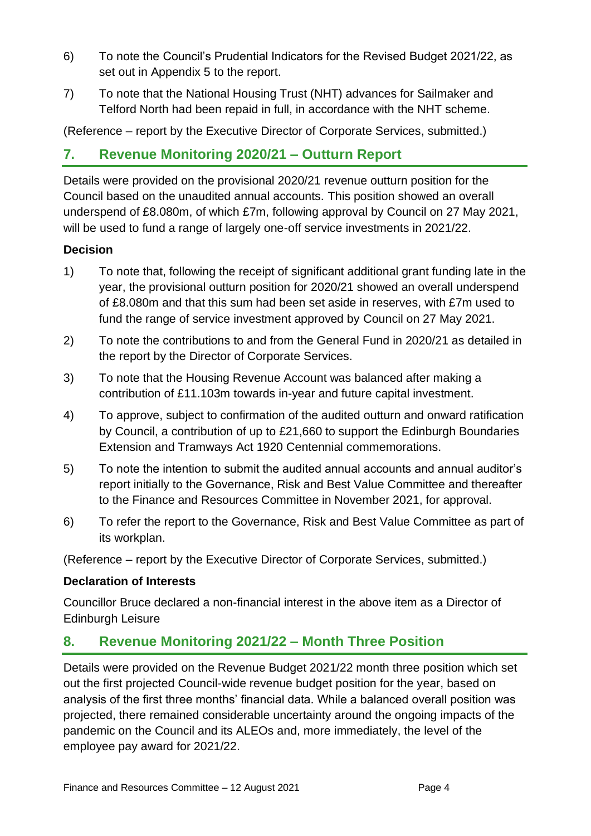- 6) To note the Council's Prudential Indicators for the Revised Budget 2021/22, as set out in Appendix 5 to the report.
- 7) To note that the National Housing Trust (NHT) advances for Sailmaker and Telford North had been repaid in full, in accordance with the NHT scheme.

(Reference – report by the Executive Director of Corporate Services, submitted.)

### **7. Revenue Monitoring 2020/21 – Outturn Report**

Details were provided on the provisional 2020/21 revenue outturn position for the Council based on the unaudited annual accounts. This position showed an overall underspend of £8.080m, of which £7m, following approval by Council on 27 May 2021, will be used to fund a range of largely one-off service investments in 2021/22.

### **Decision**

- 1) To note that, following the receipt of significant additional grant funding late in the year, the provisional outturn position for 2020/21 showed an overall underspend of £8.080m and that this sum had been set aside in reserves, with £7m used to fund the range of service investment approved by Council on 27 May 2021.
- 2) To note the contributions to and from the General Fund in 2020/21 as detailed in the report by the Director of Corporate Services.
- 3) To note that the Housing Revenue Account was balanced after making a contribution of £11.103m towards in-year and future capital investment.
- 4) To approve, subject to confirmation of the audited outturn and onward ratification by Council, a contribution of up to £21,660 to support the Edinburgh Boundaries Extension and Tramways Act 1920 Centennial commemorations.
- 5) To note the intention to submit the audited annual accounts and annual auditor's report initially to the Governance, Risk and Best Value Committee and thereafter to the Finance and Resources Committee in November 2021, for approval.
- 6) To refer the report to the Governance, Risk and Best Value Committee as part of its workplan.

(Reference – report by the Executive Director of Corporate Services, submitted.)

#### **Declaration of Interests**

Councillor Bruce declared a non-financial interest in the above item as a Director of Edinburgh Leisure

### **8. Revenue Monitoring 2021/22 – Month Three Position**

Details were provided on the Revenue Budget 2021/22 month three position which set out the first projected Council-wide revenue budget position for the year, based on analysis of the first three months' financial data. While a balanced overall position was projected, there remained considerable uncertainty around the ongoing impacts of the pandemic on the Council and its ALEOs and, more immediately, the level of the employee pay award for 2021/22.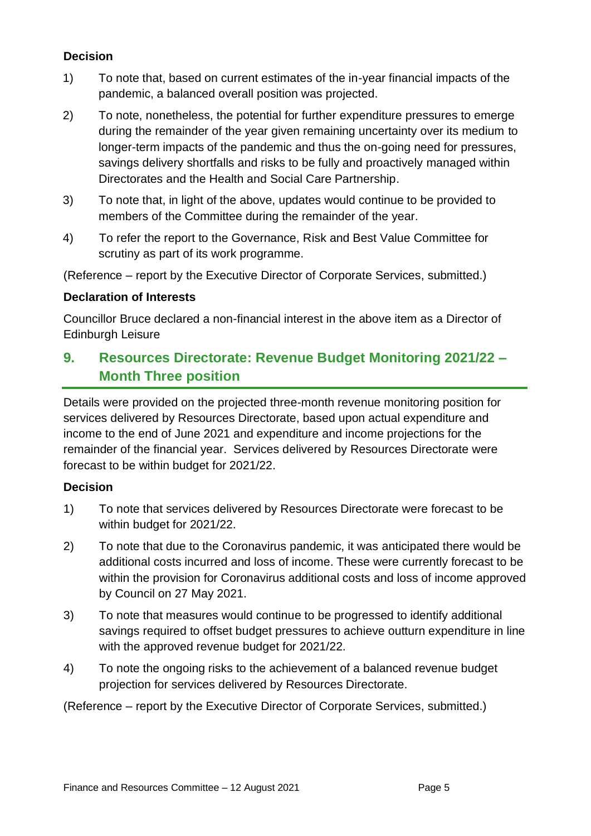#### **Decision**

- 1) To note that, based on current estimates of the in-year financial impacts of the pandemic, a balanced overall position was projected.
- 2) To note, nonetheless, the potential for further expenditure pressures to emerge during the remainder of the year given remaining uncertainty over its medium to longer-term impacts of the pandemic and thus the on-going need for pressures, savings delivery shortfalls and risks to be fully and proactively managed within Directorates and the Health and Social Care Partnership.
- 3) To note that, in light of the above, updates would continue to be provided to members of the Committee during the remainder of the year.
- 4) To refer the report to the Governance, Risk and Best Value Committee for scrutiny as part of its work programme.

(Reference – report by the Executive Director of Corporate Services, submitted.)

#### **Declaration of Interests**

Councillor Bruce declared a non-financial interest in the above item as a Director of Edinburgh Leisure

### **9. Resources Directorate: Revenue Budget Monitoring 2021/22 – Month Three position**

Details were provided on the projected three-month revenue monitoring position for services delivered by Resources Directorate, based upon actual expenditure and income to the end of June 2021 and expenditure and income projections for the remainder of the financial year. Services delivered by Resources Directorate were forecast to be within budget for 2021/22.

#### **Decision**

- 1) To note that services delivered by Resources Directorate were forecast to be within budget for 2021/22.
- 2) To note that due to the Coronavirus pandemic, it was anticipated there would be additional costs incurred and loss of income. These were currently forecast to be within the provision for Coronavirus additional costs and loss of income approved by Council on 27 May 2021.
- 3) To note that measures would continue to be progressed to identify additional savings required to offset budget pressures to achieve outturn expenditure in line with the approved revenue budget for 2021/22.
- 4) To note the ongoing risks to the achievement of a balanced revenue budget projection for services delivered by Resources Directorate.

(Reference – report by the Executive Director of Corporate Services, submitted.)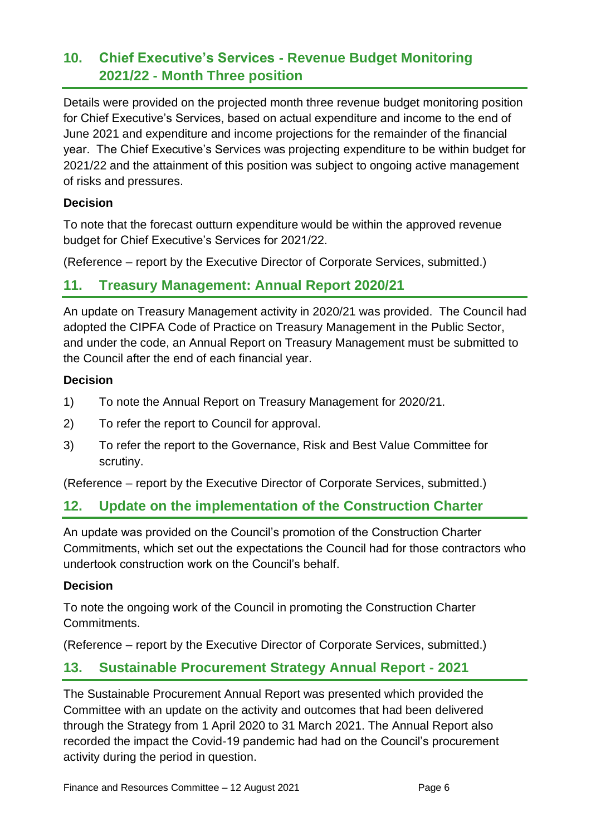### **10. Chief Executive's Services - Revenue Budget Monitoring 2021/22 - Month Three position**

Details were provided on the projected month three revenue budget monitoring position for Chief Executive's Services, based on actual expenditure and income to the end of June 2021 and expenditure and income projections for the remainder of the financial year. The Chief Executive's Services was projecting expenditure to be within budget for 2021/22 and the attainment of this position was subject to ongoing active management of risks and pressures.

#### **Decision**

To note that the forecast outturn expenditure would be within the approved revenue budget for Chief Executive's Services for 2021/22.

(Reference – report by the Executive Director of Corporate Services, submitted.)

### **11. Treasury Management: Annual Report 2020/21**

An update on Treasury Management activity in 2020/21 was provided. The Council had adopted the CIPFA Code of Practice on Treasury Management in the Public Sector, and under the code, an Annual Report on Treasury Management must be submitted to the Council after the end of each financial year.

#### **Decision**

- 1) To note the Annual Report on Treasury Management for 2020/21.
- 2) To refer the report to Council for approval.
- 3) To refer the report to the Governance, Risk and Best Value Committee for scrutiny.

(Reference – report by the Executive Director of Corporate Services, submitted.)

### **12. Update on the implementation of the Construction Charter**

An update was provided on the Council's promotion of the Construction Charter Commitments, which set out the expectations the Council had for those contractors who undertook construction work on the Council's behalf.

### **Decision**

To note the ongoing work of the Council in promoting the Construction Charter Commitments.

(Reference – report by the Executive Director of Corporate Services, submitted.)

### **13. Sustainable Procurement Strategy Annual Report - 2021**

The Sustainable Procurement Annual Report was presented which provided the Committee with an update on the activity and outcomes that had been delivered through the Strategy from 1 April 2020 to 31 March 2021. The Annual Report also recorded the impact the Covid-19 pandemic had had on the Council's procurement activity during the period in question.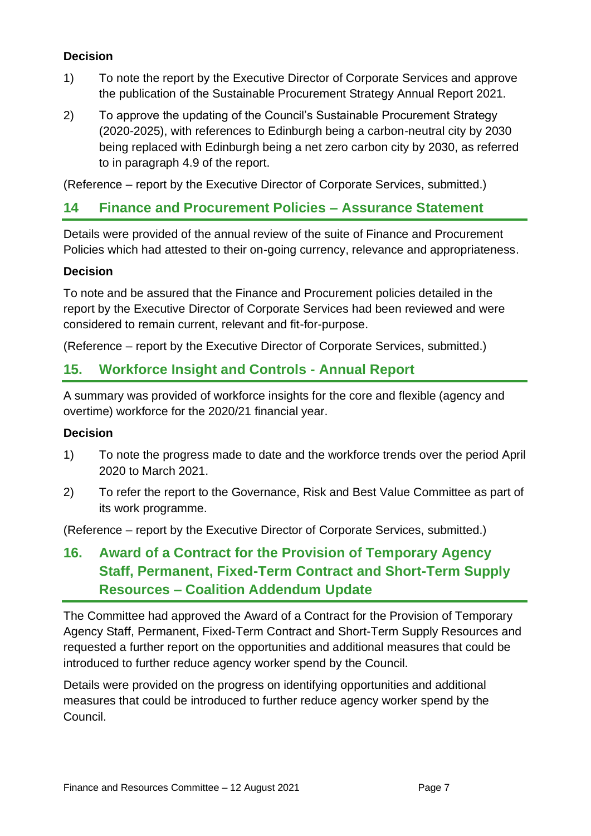### **Decision**

- 1) To note the report by the Executive Director of Corporate Services and approve the publication of the Sustainable Procurement Strategy Annual Report 2021.
- 2) To approve the updating of the Council's Sustainable Procurement Strategy (2020-2025), with references to Edinburgh being a carbon-neutral city by 2030 being replaced with Edinburgh being a net zero carbon city by 2030, as referred to in paragraph 4.9 of the report.

(Reference – report by the Executive Director of Corporate Services, submitted.)

### **14 Finance and Procurement Policies – Assurance Statement**

Details were provided of the annual review of the suite of Finance and Procurement Policies which had attested to their on-going currency, relevance and appropriateness.

### **Decision**

To note and be assured that the Finance and Procurement policies detailed in the report by the Executive Director of Corporate Services had been reviewed and were considered to remain current, relevant and fit-for-purpose.

(Reference – report by the Executive Director of Corporate Services, submitted.)

### **15. Workforce Insight and Controls - Annual Report**

A summary was provided of workforce insights for the core and flexible (agency and overtime) workforce for the 2020/21 financial year.

#### **Decision**

- 1) To note the progress made to date and the workforce trends over the period April 2020 to March 2021.
- 2) To refer the report to the Governance, Risk and Best Value Committee as part of its work programme.

(Reference – report by the Executive Director of Corporate Services, submitted.)

### **16. Award of a Contract for the Provision of Temporary Agency Staff, Permanent, Fixed-Term Contract and Short-Term Supply Resources – Coalition Addendum Update**

The Committee had approved the Award of a Contract for the Provision of Temporary Agency Staff, Permanent, Fixed-Term Contract and Short-Term Supply Resources and requested a further report on the opportunities and additional measures that could be introduced to further reduce agency worker spend by the Council.

Details were provided on the progress on identifying opportunities and additional measures that could be introduced to further reduce agency worker spend by the Council.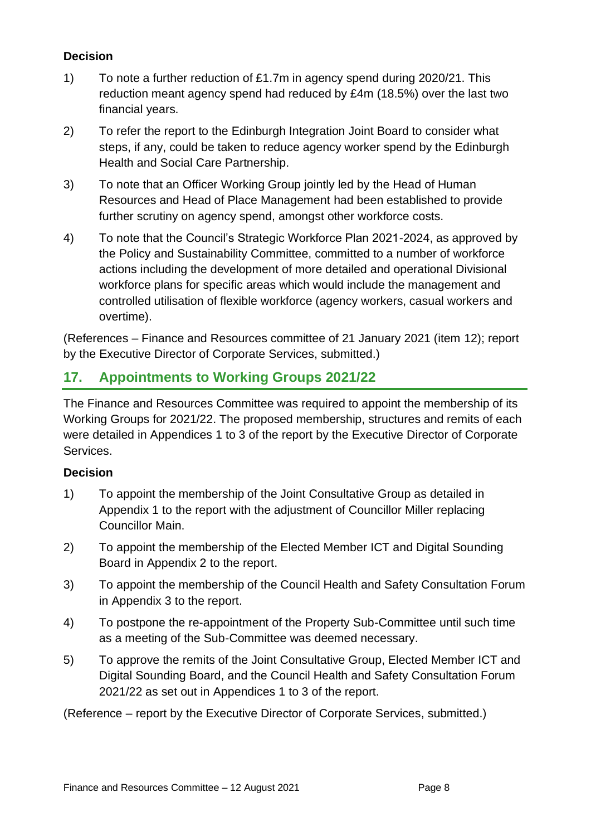### **Decision**

- 1) To note a further reduction of £1.7m in agency spend during 2020/21. This reduction meant agency spend had reduced by £4m (18.5%) over the last two financial years.
- 2) To refer the report to the Edinburgh Integration Joint Board to consider what steps, if any, could be taken to reduce agency worker spend by the Edinburgh Health and Social Care Partnership.
- 3) To note that an Officer Working Group jointly led by the Head of Human Resources and Head of Place Management had been established to provide further scrutiny on agency spend, amongst other workforce costs.
- 4) To note that the Council's Strategic Workforce Plan 2021-2024, as approved by the Policy and Sustainability Committee, committed to a number of workforce actions including the development of more detailed and operational Divisional workforce plans for specific areas which would include the management and controlled utilisation of flexible workforce (agency workers, casual workers and overtime).

(References – Finance and Resources committee of 21 January 2021 (item 12); report by the Executive Director of Corporate Services, submitted.)

### **17. Appointments to Working Groups 2021/22**

The Finance and Resources Committee was required to appoint the membership of its Working Groups for 2021/22. The proposed membership, structures and remits of each were detailed in Appendices 1 to 3 of the report by the Executive Director of Corporate Services.

#### **Decision**

- 1) To appoint the membership of the Joint Consultative Group as detailed in Appendix 1 to the report with the adjustment of Councillor Miller replacing Councillor Main.
- 2) To appoint the membership of the Elected Member ICT and Digital Sounding Board in Appendix 2 to the report.
- 3) To appoint the membership of the Council Health and Safety Consultation Forum in Appendix 3 to the report.
- 4) To postpone the re-appointment of the Property Sub-Committee until such time as a meeting of the Sub-Committee was deemed necessary.
- 5) To approve the remits of the Joint Consultative Group, Elected Member ICT and Digital Sounding Board, and the Council Health and Safety Consultation Forum 2021/22 as set out in Appendices 1 to 3 of the report.

(Reference – report by the Executive Director of Corporate Services, submitted.)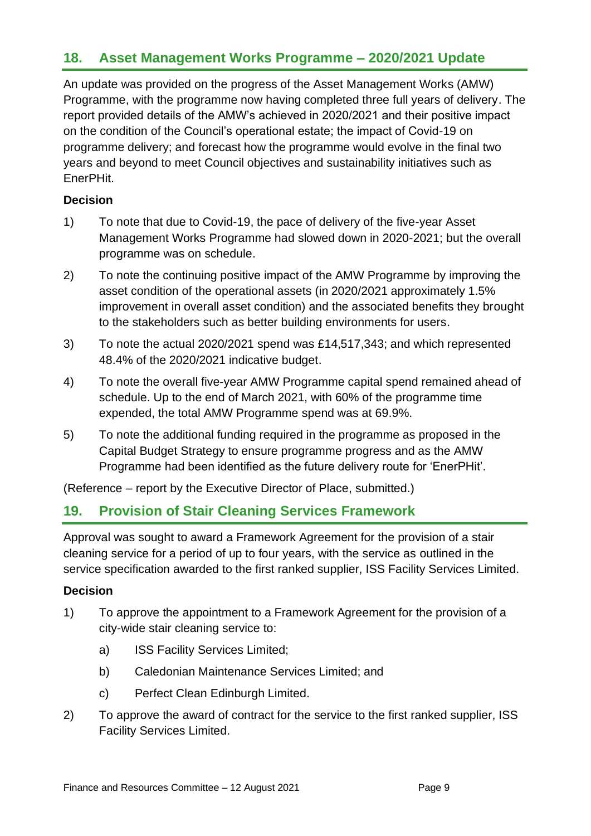### **18. Asset Management Works Programme – 2020/2021 Update**

An update was provided on the progress of the Asset Management Works (AMW) Programme, with the programme now having completed three full years of delivery. The report provided details of the AMW's achieved in 2020/2021 and their positive impact on the condition of the Council's operational estate; the impact of Covid-19 on programme delivery; and forecast how the programme would evolve in the final two years and beyond to meet Council objectives and sustainability initiatives such as EnerPHit.

### **Decision**

- 1) To note that due to Covid-19, the pace of delivery of the five-year Asset Management Works Programme had slowed down in 2020-2021; but the overall programme was on schedule.
- 2) To note the continuing positive impact of the AMW Programme by improving the asset condition of the operational assets (in 2020/2021 approximately 1.5% improvement in overall asset condition) and the associated benefits they brought to the stakeholders such as better building environments for users.
- 3) To note the actual 2020/2021 spend was £14,517,343; and which represented 48.4% of the 2020/2021 indicative budget.
- 4) To note the overall five-year AMW Programme capital spend remained ahead of schedule. Up to the end of March 2021, with 60% of the programme time expended, the total AMW Programme spend was at 69.9%.
- 5) To note the additional funding required in the programme as proposed in the Capital Budget Strategy to ensure programme progress and as the AMW Programme had been identified as the future delivery route for 'EnerPHit'.

(Reference – report by the Executive Director of Place, submitted.)

### **19. Provision of Stair Cleaning Services Framework**

Approval was sought to award a Framework Agreement for the provision of a stair cleaning service for a period of up to four years, with the service as outlined in the service specification awarded to the first ranked supplier, ISS Facility Services Limited.

#### **Decision**

- 1) To approve the appointment to a Framework Agreement for the provision of a city-wide stair cleaning service to:
	- a) ISS Facility Services Limited;
	- b) Caledonian Maintenance Services Limited; and
	- c) Perfect Clean Edinburgh Limited.
- 2) To approve the award of contract for the service to the first ranked supplier, ISS Facility Services Limited.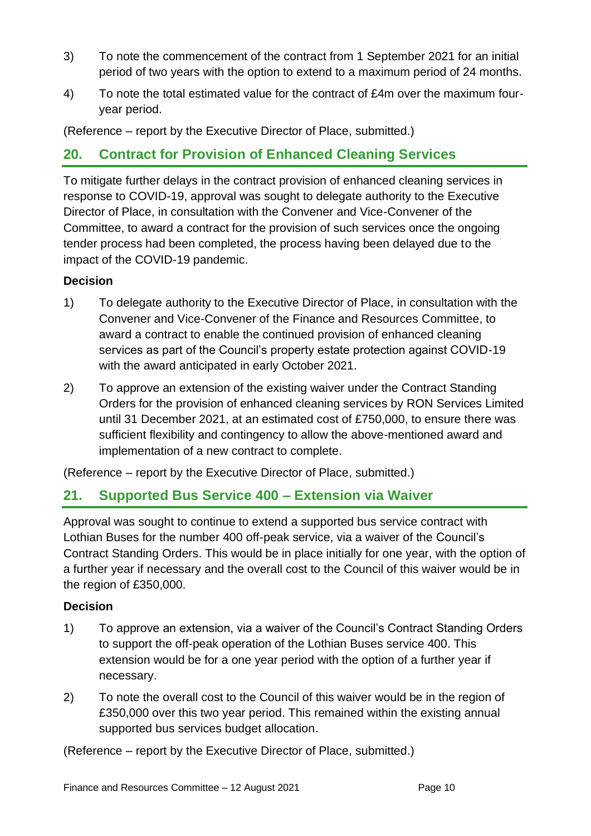- 3) To note the commencement of the contract from 1 September 2021 for an initial period of two years with the option to extend to a maximum period of 24 months.
- 4) To note the total estimated value for the contract of £4m over the maximum fouryear period.

(Reference – report by the Executive Director of Place, submitted.)

### **20. Contract for Provision of Enhanced Cleaning Services**

To mitigate further delays in the contract provision of enhanced cleaning services in response to COVID-19, approval was sought to delegate authority to the Executive Director of Place, in consultation with the Convener and Vice-Convener of the Committee, to award a contract for the provision of such services once the ongoing tender process had been completed, the process having been delayed due to the impact of the COVID-19 pandemic.

#### **Decision**

- 1) To delegate authority to the Executive Director of Place, in consultation with the Convener and Vice-Convener of the Finance and Resources Committee, to award a contract to enable the continued provision of enhanced cleaning services as part of the Council's property estate protection against COVID-19 with the award anticipated in early October 2021.
- 2) To approve an extension of the existing waiver under the Contract Standing Orders for the provision of enhanced cleaning services by RON Services Limited until 31 December 2021, at an estimated cost of £750,000, to ensure there was sufficient flexibility and contingency to allow the above-mentioned award and implementation of a new contract to complete.

(Reference – report by the Executive Director of Place, submitted.)

### **21. Supported Bus Service 400 – Extension via Waiver**

Approval was sought to continue to extend a supported bus service contract with Lothian Buses for the number 400 off-peak service, via a waiver of the Council's Contract Standing Orders. This would be in place initially for one year, with the option of a further year if necessary and the overall cost to the Council of this waiver would be in the region of £350,000.

#### **Decision**

- 1) To approve an extension, via a waiver of the Council's Contract Standing Orders to support the off-peak operation of the Lothian Buses service 400. This extension would be for a one year period with the option of a further year if necessary.
- 2) To note the overall cost to the Council of this waiver would be in the region of £350,000 over this two year period. This remained within the existing annual supported bus services budget allocation.

(Reference – report by the Executive Director of Place, submitted.)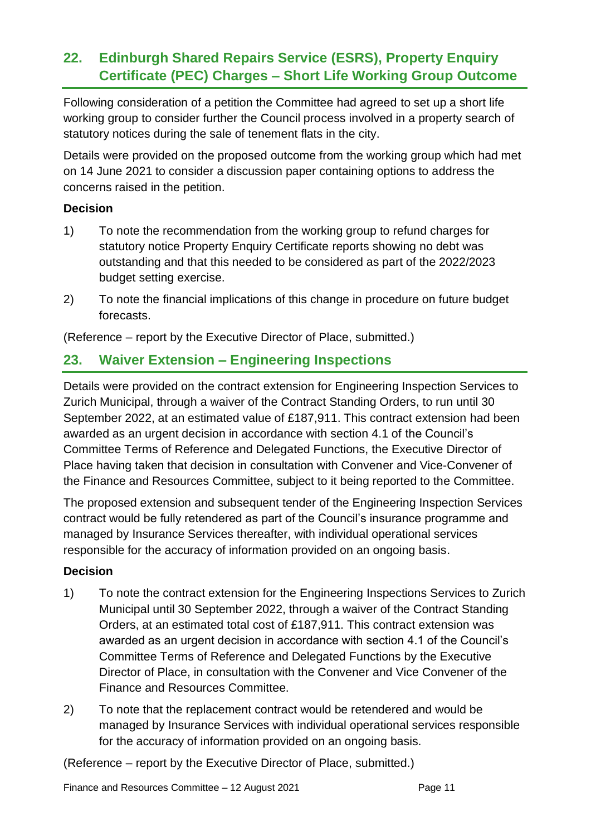### **22. Edinburgh Shared Repairs Service (ESRS), Property Enquiry Certificate (PEC) Charges – Short Life Working Group Outcome**

Following consideration of a petition the Committee had agreed to set up a short life working group to consider further the Council process involved in a property search of statutory notices during the sale of tenement flats in the city.

Details were provided on the proposed outcome from the working group which had met on 14 June 2021 to consider a discussion paper containing options to address the concerns raised in the petition.

### **Decision**

- 1) To note the recommendation from the working group to refund charges for statutory notice Property Enquiry Certificate reports showing no debt was outstanding and that this needed to be considered as part of the 2022/2023 budget setting exercise.
- 2) To note the financial implications of this change in procedure on future budget forecasts.

(Reference – report by the Executive Director of Place, submitted.)

### **23. Waiver Extension – Engineering Inspections**

Details were provided on the contract extension for Engineering Inspection Services to Zurich Municipal, through a waiver of the Contract Standing Orders, to run until 30 September 2022, at an estimated value of £187,911. This contract extension had been awarded as an urgent decision in accordance with section 4.1 of the Council's Committee Terms of Reference and Delegated Functions, the Executive Director of Place having taken that decision in consultation with Convener and Vice-Convener of the Finance and Resources Committee, subject to it being reported to the Committee.

The proposed extension and subsequent tender of the Engineering Inspection Services contract would be fully retendered as part of the Council's insurance programme and managed by Insurance Services thereafter, with individual operational services responsible for the accuracy of information provided on an ongoing basis.

### **Decision**

- 1) To note the contract extension for the Engineering Inspections Services to Zurich Municipal until 30 September 2022, through a waiver of the Contract Standing Orders, at an estimated total cost of £187,911. This contract extension was awarded as an urgent decision in accordance with section 4.1 of the Council's Committee Terms of Reference and Delegated Functions by the Executive Director of Place, in consultation with the Convener and Vice Convener of the Finance and Resources Committee.
- 2) To note that the replacement contract would be retendered and would be managed by Insurance Services with individual operational services responsible for the accuracy of information provided on an ongoing basis.

(Reference – report by the Executive Director of Place, submitted.)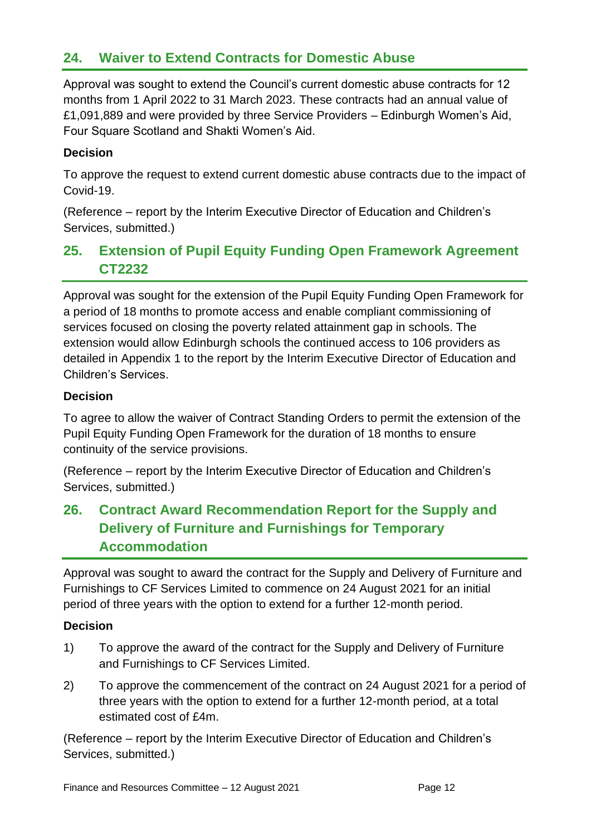### **24. Waiver to Extend Contracts for Domestic Abuse**

Approval was sought to extend the Council's current domestic abuse contracts for 12 months from 1 April 2022 to 31 March 2023. These contracts had an annual value of £1,091,889 and were provided by three Service Providers – Edinburgh Women's Aid, Four Square Scotland and Shakti Women's Aid.

#### **Decision**

To approve the request to extend current domestic abuse contracts due to the impact of Covid-19.

(Reference – report by the Interim Executive Director of Education and Children's Services, submitted.)

### **25. Extension of Pupil Equity Funding Open Framework Agreement CT2232**

Approval was sought for the extension of the Pupil Equity Funding Open Framework for a period of 18 months to promote access and enable compliant commissioning of services focused on closing the poverty related attainment gap in schools. The extension would allow Edinburgh schools the continued access to 106 providers as detailed in Appendix 1 to the report by the Interim Executive Director of Education and Children's Services.

#### **Decision**

To agree to allow the waiver of Contract Standing Orders to permit the extension of the Pupil Equity Funding Open Framework for the duration of 18 months to ensure continuity of the service provisions.

(Reference – report by the Interim Executive Director of Education and Children's Services, submitted.)

### **26. Contract Award Recommendation Report for the Supply and Delivery of Furniture and Furnishings for Temporary Accommodation**

Approval was sought to award the contract for the Supply and Delivery of Furniture and Furnishings to CF Services Limited to commence on 24 August 2021 for an initial period of three years with the option to extend for a further 12-month period.

#### **Decision**

- 1) To approve the award of the contract for the Supply and Delivery of Furniture and Furnishings to CF Services Limited.
- 2) To approve the commencement of the contract on 24 August 2021 for a period of three years with the option to extend for a further 12-month period, at a total estimated cost of £4m.

(Reference – report by the Interim Executive Director of Education and Children's Services, submitted.)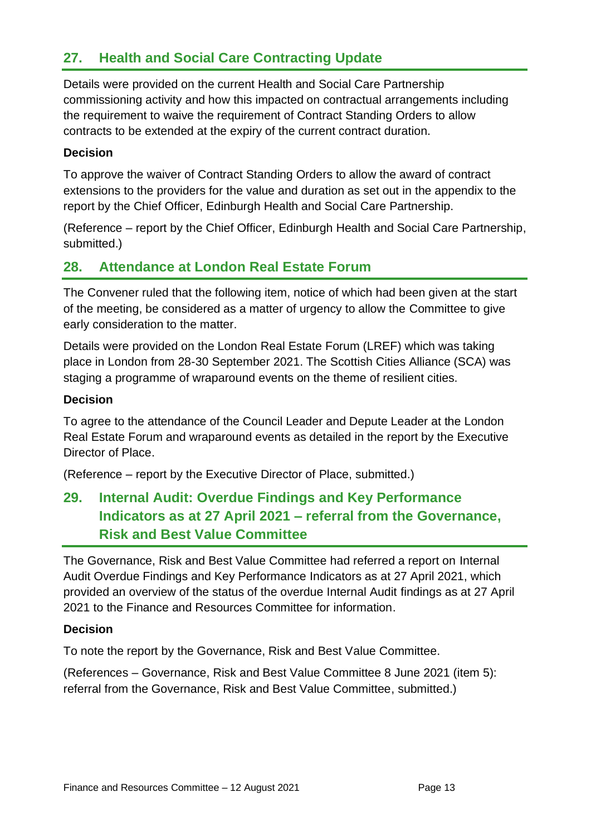### **27. Health and Social Care Contracting Update**

Details were provided on the current Health and Social Care Partnership commissioning activity and how this impacted on contractual arrangements including the requirement to waive the requirement of Contract Standing Orders to allow contracts to be extended at the expiry of the current contract duration.

#### **Decision**

To approve the waiver of Contract Standing Orders to allow the award of contract extensions to the providers for the value and duration as set out in the appendix to the report by the Chief Officer, Edinburgh Health and Social Care Partnership.

(Reference – report by the Chief Officer, Edinburgh Health and Social Care Partnership, submitted.)

### **28. Attendance at London Real Estate Forum**

The Convener ruled that the following item, notice of which had been given at the start of the meeting, be considered as a matter of urgency to allow the Committee to give early consideration to the matter.

Details were provided on the London Real Estate Forum (LREF) which was taking place in London from 28-30 September 2021. The Scottish Cities Alliance (SCA) was staging a programme of wraparound events on the theme of resilient cities.

#### **Decision**

To agree to the attendance of the Council Leader and Depute Leader at the London Real Estate Forum and wraparound events as detailed in the report by the Executive Director of Place.

(Reference – report by the Executive Director of Place, submitted.)

### **29. Internal Audit: Overdue Findings and Key Performance Indicators as at 27 April 2021 – referral from the Governance, Risk and Best Value Committee**

The Governance, Risk and Best Value Committee had referred a report on Internal Audit Overdue Findings and Key Performance Indicators as at 27 April 2021, which provided an overview of the status of the overdue Internal Audit findings as at 27 April 2021 to the Finance and Resources Committee for information.

#### **Decision**

To note the report by the Governance, Risk and Best Value Committee.

(References – Governance, Risk and Best Value Committee 8 June 2021 (item 5): referral from the Governance, Risk and Best Value Committee, submitted.)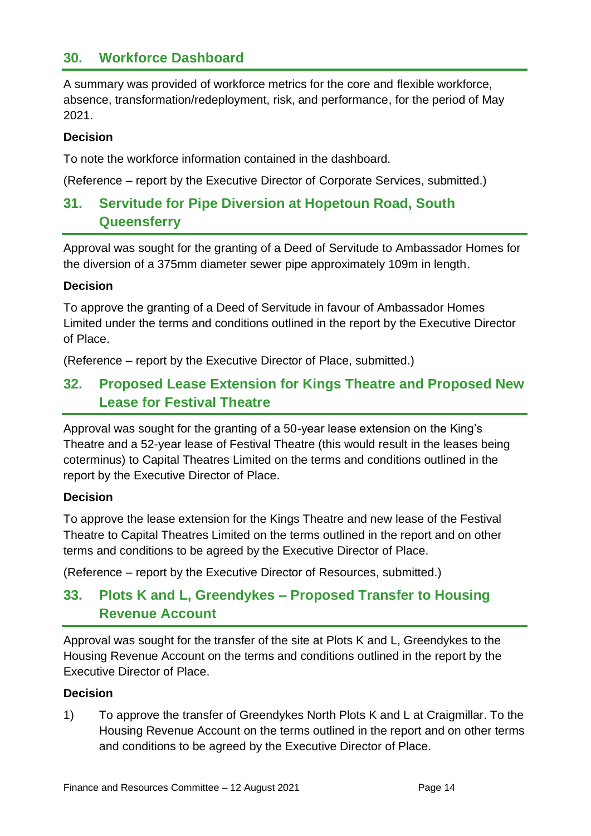### **30. Workforce Dashboard**

A summary was provided of workforce metrics for the core and flexible workforce, absence, transformation/redeployment, risk, and performance, for the period of May 2021.

#### **Decision**

To note the workforce information contained in the dashboard.

(Reference – report by the Executive Director of Corporate Services, submitted.)

### **31. Servitude for Pipe Diversion at Hopetoun Road, South Queensferry**

Approval was sought for the granting of a Deed of Servitude to Ambassador Homes for the diversion of a 375mm diameter sewer pipe approximately 109m in length.

#### **Decision**

To approve the granting of a Deed of Servitude in favour of Ambassador Homes Limited under the terms and conditions outlined in the report by the Executive Director of Place.

(Reference – report by the Executive Director of Place, submitted.)

### **32. Proposed Lease Extension for Kings Theatre and Proposed New Lease for Festival Theatre**

Approval was sought for the granting of a 50-year lease extension on the King's Theatre and a 52-year lease of Festival Theatre (this would result in the leases being coterminus) to Capital Theatres Limited on the terms and conditions outlined in the report by the Executive Director of Place.

#### **Decision**

To approve the lease extension for the Kings Theatre and new lease of the Festival Theatre to Capital Theatres Limited on the terms outlined in the report and on other terms and conditions to be agreed by the Executive Director of Place.

(Reference – report by the Executive Director of Resources, submitted.)

### **33. Plots K and L, Greendykes – Proposed Transfer to Housing Revenue Account**

Approval was sought for the transfer of the site at Plots K and L, Greendykes to the Housing Revenue Account on the terms and conditions outlined in the report by the Executive Director of Place.

#### **Decision**

1) To approve the transfer of Greendykes North Plots K and L at Craigmillar. To the Housing Revenue Account on the terms outlined in the report and on other terms and conditions to be agreed by the Executive Director of Place.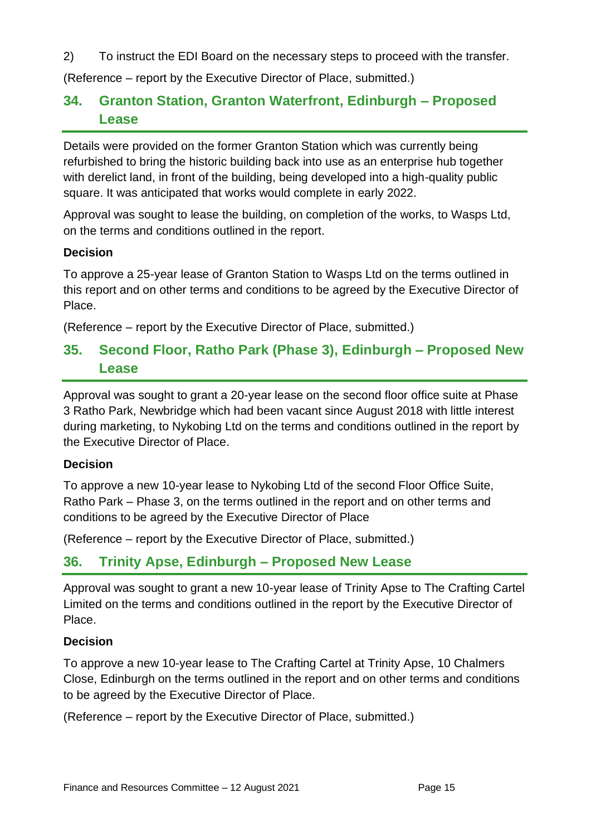2) To instruct the EDI Board on the necessary steps to proceed with the transfer.

(Reference – report by the Executive Director of Place, submitted.)

### **34. Granton Station, Granton Waterfront, Edinburgh – Proposed Lease**

Details were provided on the former Granton Station which was currently being refurbished to bring the historic building back into use as an enterprise hub together with derelict land, in front of the building, being developed into a high-quality public square. It was anticipated that works would complete in early 2022.

Approval was sought to lease the building, on completion of the works, to Wasps Ltd, on the terms and conditions outlined in the report.

#### **Decision**

To approve a 25-year lease of Granton Station to Wasps Ltd on the terms outlined in this report and on other terms and conditions to be agreed by the Executive Director of Place.

(Reference – report by the Executive Director of Place, submitted.)

### **35. Second Floor, Ratho Park (Phase 3), Edinburgh – Proposed New Lease**

Approval was sought to grant a 20-year lease on the second floor office suite at Phase 3 Ratho Park, Newbridge which had been vacant since August 2018 with little interest during marketing, to Nykobing Ltd on the terms and conditions outlined in the report by the Executive Director of Place.

#### **Decision**

To approve a new 10-year lease to Nykobing Ltd of the second Floor Office Suite, Ratho Park – Phase 3, on the terms outlined in the report and on other terms and conditions to be agreed by the Executive Director of Place

(Reference – report by the Executive Director of Place, submitted.)

### **36. Trinity Apse, Edinburgh – Proposed New Lease**

Approval was sought to grant a new 10-year lease of Trinity Apse to The Crafting Cartel Limited on the terms and conditions outlined in the report by the Executive Director of Place.

#### **Decision**

To approve a new 10-year lease to The Crafting Cartel at Trinity Apse, 10 Chalmers Close, Edinburgh on the terms outlined in the report and on other terms and conditions to be agreed by the Executive Director of Place.

(Reference – report by the Executive Director of Place, submitted.)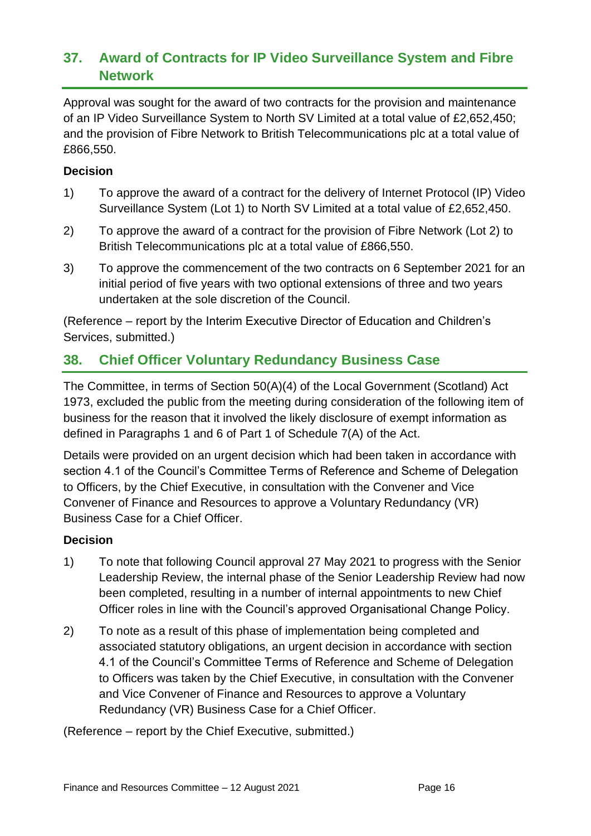### **37. Award of Contracts for IP Video Surveillance System and Fibre Network**

Approval was sought for the award of two contracts for the provision and maintenance of an IP Video Surveillance System to North SV Limited at a total value of £2,652,450; and the provision of Fibre Network to British Telecommunications plc at a total value of £866,550.

### **Decision**

- 1) To approve the award of a contract for the delivery of Internet Protocol (IP) Video Surveillance System (Lot 1) to North SV Limited at a total value of £2,652,450.
- 2) To approve the award of a contract for the provision of Fibre Network (Lot 2) to British Telecommunications plc at a total value of £866,550.
- 3) To approve the commencement of the two contracts on 6 September 2021 for an initial period of five years with two optional extensions of three and two years undertaken at the sole discretion of the Council.

(Reference – report by the Interim Executive Director of Education and Children's Services, submitted.)

### **38. Chief Officer Voluntary Redundancy Business Case**

The Committee, in terms of Section 50(A)(4) of the Local Government (Scotland) Act 1973, excluded the public from the meeting during consideration of the following item of business for the reason that it involved the likely disclosure of exempt information as defined in Paragraphs 1 and 6 of Part 1 of Schedule 7(A) of the Act.

Details were provided on an urgent decision which had been taken in accordance with section 4.1 of the Council's Committee Terms of Reference and Scheme of Delegation to Officers, by the Chief Executive, in consultation with the Convener and Vice Convener of Finance and Resources to approve a Voluntary Redundancy (VR) Business Case for a Chief Officer.

#### **Decision**

- 1) To note that following Council approval 27 May 2021 to progress with the Senior Leadership Review, the internal phase of the Senior Leadership Review had now been completed, resulting in a number of internal appointments to new Chief Officer roles in line with the Council's approved Organisational Change Policy.
- 2) To note as a result of this phase of implementation being completed and associated statutory obligations, an urgent decision in accordance with section 4.1 of the Council's Committee Terms of Reference and Scheme of Delegation to Officers was taken by the Chief Executive, in consultation with the Convener and Vice Convener of Finance and Resources to approve a Voluntary Redundancy (VR) Business Case for a Chief Officer.

(Reference – report by the Chief Executive, submitted.)